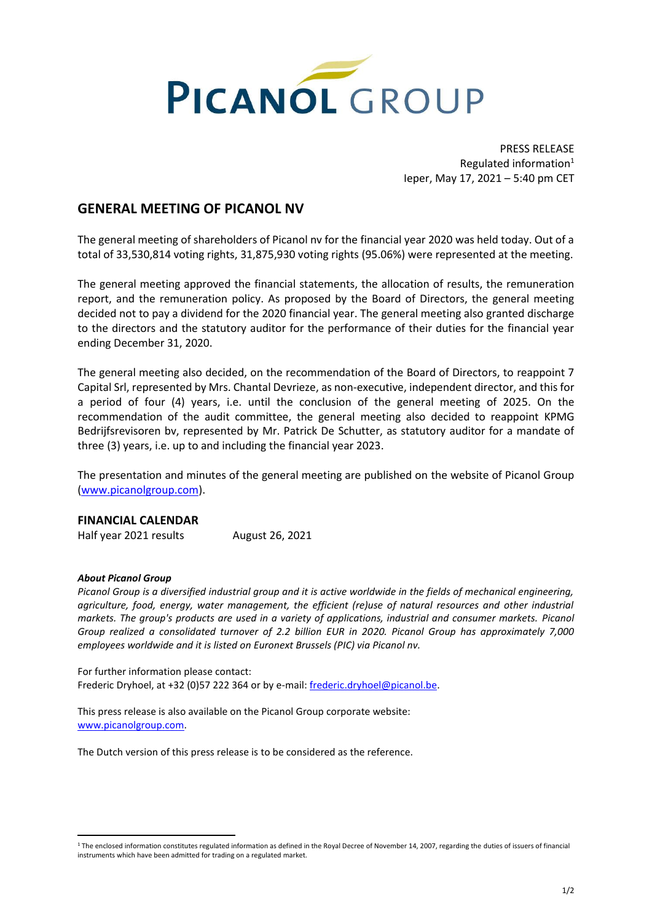

PRESS RELEASE Regulated information<sup>1</sup> Ieper, May 17, 2021 – 5:40 pm CET

## **GENERAL MEETING OF PICANOL NV**

The general meeting of shareholders of Picanol nv for the financial year 2020 was held today. Out of a total of 33,530,814 voting rights, 31,875,930 voting rights (95.06%) were represented at the meeting.

The general meeting approved the financial statements, the allocation of results, the remuneration report, and the remuneration policy. As proposed by the Board of Directors, the general meeting decided not to pay a dividend for the 2020 financial year. The general meeting also granted discharge to the directors and the statutory auditor for the performance of their duties for the financial year ending December 31, 2020.

The general meeting also decided, on the recommendation of the Board of Directors, to reappoint 7 Capital Srl, represented by Mrs. Chantal Devrieze, as non-executive, independent director, and thisfor a period of four (4) years, i.e. until the conclusion of the general meeting of 2025. On the recommendation of the audit committee, the general meeting also decided to reappoint KPMG Bedrijfsrevisoren bv, represented by Mr. Patrick De Schutter, as statutory auditor for a mandate of three (3) years, i.e. up to and including the financial year 2023.

The presentation and minutes of the general meeting are published on the website of Picanol Group [\(www.picanolgroup.com\)](http://www.picanolgroup.com/).

## **FINANCIAL CALENDAR**

Half year 2021 results August 26, 2021

## *About Picanol Group*

*Picanol Group is a diversified industrial group and it is active worldwide in the fields of mechanical engineering, agriculture, food, energy, water management, the efficient (re)use of natural resources and other industrial markets. The group's products are used in a variety of applications, industrial and consumer markets. Picanol Group realized a consolidated turnover of 2.2 billion EUR in 2020. Picanol Group has approximately 7,000 employees worldwide and it is listed on Euronext Brussels (PIC) via Picanol nv.*

For further information please contact: Frederic Dryhoel, at +32 (0)57 222 364 or by e-mail: [frederic.dryhoel@picanol.be.](mailto:frederic.dryhoel@picanol.be)

This press release is also available on the Picanol Group corporate website: [www.picanolgroup.com.](http://www.picanolgroup.com/)

The Dutch version of this press release is to be considered as the reference.

<sup>&</sup>lt;sup>1</sup> The enclosed information constitutes regulated information as defined in the Royal Decree of November 14, 2007, regarding the duties of issuers of financial instruments which have been admitted for trading on a regulated market.